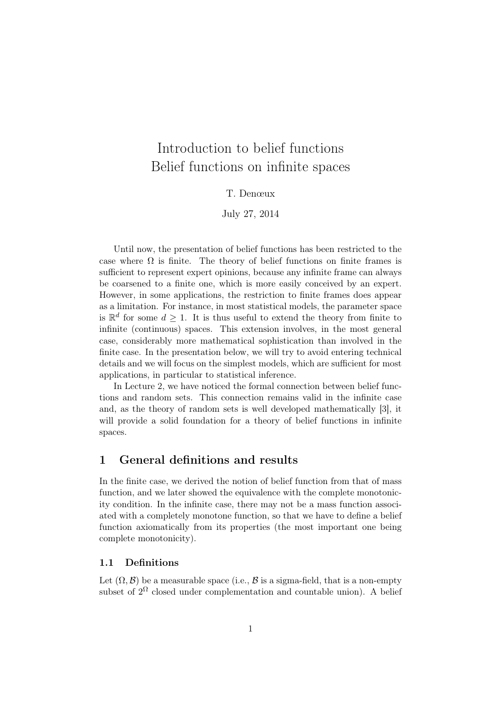# Introduction to belief functions Belief functions on infinite spaces

### T. Denœux

#### July 27, 2014

Until now, the presentation of belief functions has been restricted to the case where  $\Omega$  is finite. The theory of belief functions on finite frames is sufficient to represent expert opinions, because any infinite frame can always be coarsened to a finite one, which is more easily conceived by an expert. However, in some applications, the restriction to finite frames does appear as a limitation. For instance, in most statistical models, the parameter space is  $\mathbb{R}^d$  for some  $d \geq 1$ . It is thus useful to extend the theory from finite to infinite (continuous) spaces. This extension involves, in the most general case, considerably more mathematical sophistication than involved in the finite case. In the presentation below, we will try to avoid entering technical details and we will focus on the simplest models, which are sufficient for most applications, in particular to statistical inference.

In Lecture 2, we have noticed the formal connection between belief functions and random sets. This connection remains valid in the infinite case and, as the theory of random sets is well developed mathematically [3], it will provide a solid foundation for a theory of belief functions in infinite spaces.

# 1 General definitions and results

In the finite case, we derived the notion of belief function from that of mass function, and we later showed the equivalence with the complete monotonicity condition. In the infinite case, there may not be a mass function associated with a completely monotone function, so that we have to define a belief function axiomatically from its properties (the most important one being complete monotonicity).

#### 1.1 Definitions

Let  $(\Omega, \mathcal{B})$  be a measurable space (i.e.,  $\mathcal{B}$  is a sigma-field, that is a non-empty subset of  $2^{\Omega}$  closed under complementation and countable union). A belief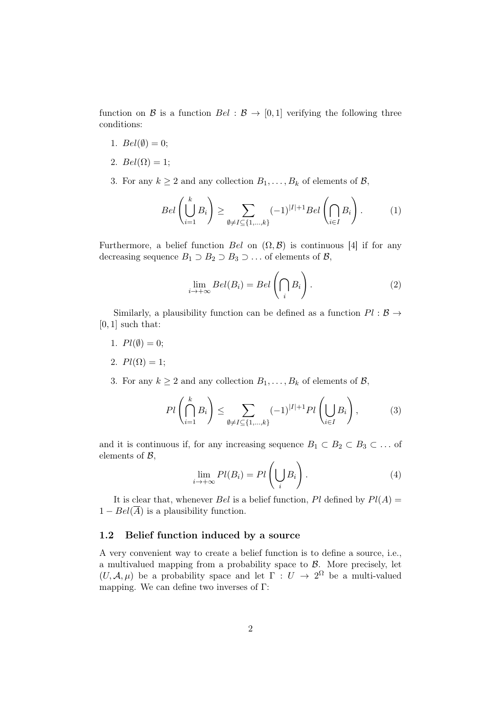function on B is a function  $Bel : \mathcal{B} \to [0, 1]$  verifying the following three conditions:

- 1.  $Bel(\emptyset) = 0$ ;
- 2.  $Bel(\Omega) = 1;$
- 3. For any  $k \ge 2$  and any collection  $B_1, \ldots, B_k$  of elements of  $\mathcal{B}$ ,

$$
Bel\left(\bigcup_{i=1}^{k} B_i\right) \ge \sum_{\emptyset \ne I \subseteq \{1,\dots,k\}} (-1)^{|I|+1} Bel\left(\bigcap_{i \in I} B_i\right). \tag{1}
$$

Furthermore, a belief function Bel on  $(\Omega, \mathcal{B})$  is continuous [4] if for any decreasing sequence  $B_1 \supset B_2 \supset B_3 \supset \dots$  of elements of  $\mathcal{B}$ ,

$$
\lim_{i \to +\infty} Bel(B_i) = Bel\left(\bigcap_i B_i\right). \tag{2}
$$

Similarly, a plausibility function can be defined as a function  $Pl : \mathcal{B} \rightarrow$  $[0, 1]$  such that:

- 1.  $Pl(\emptyset) = 0$ ;
- 2.  $Pl(\Omega) = 1;$
- 3. For any  $k \ge 2$  and any collection  $B_1, \ldots, B_k$  of elements of  $\mathcal{B}$ ,

$$
Pl\left(\bigcap_{i=1}^k B_i\right) \le \sum_{\emptyset \ne I \subseteq \{1,\dots,k\}} (-1)^{|I|+1} Pl\left(\bigcup_{i \in I} B_i\right),\tag{3}
$$

and it is continuous if, for any increasing sequence  $B_1 \subset B_2 \subset B_3 \subset \ldots$  of elements of  $B$ ,

$$
\lim_{i \to +\infty} Pl(B_i) = Pl\left(\bigcup_i B_i\right). \tag{4}
$$

It is clear that, whenever Bel is a belief function, Pl defined by  $Pl(A)$  =  $1 - Bel(\overline{A})$  is a plausibility function.

#### 1.2 Belief function induced by a source

A very convenient way to create a belief function is to define a source, i.e., a multivalued mapping from a probability space to  $\beta$ . More precisely, let  $(U, \mathcal{A}, \mu)$  be a probability space and let  $\Gamma : U \to 2^{\Omega}$  be a multi-valued mapping. We can define two inverses of Γ: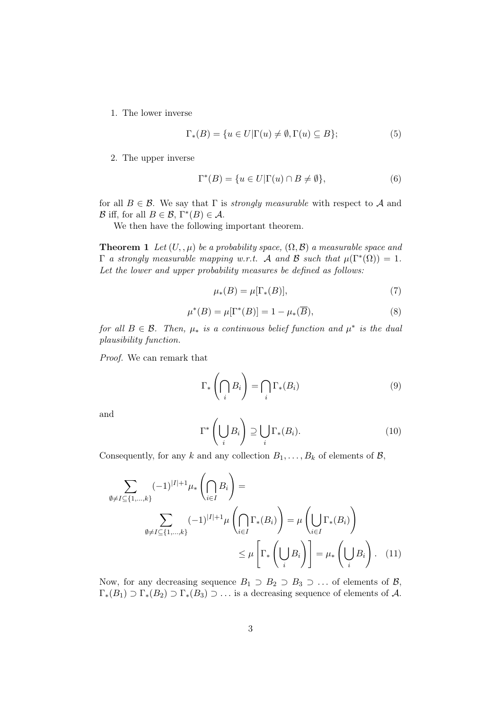1. The lower inverse

$$
\Gamma_*(B) = \{ u \in U | \Gamma(u) \neq \emptyset, \Gamma(u) \subseteq B \};\tag{5}
$$

2. The upper inverse

$$
\Gamma^*(B) = \{ u \in U | \Gamma(u) \cap B \neq \emptyset \},\tag{6}
$$

for all  $B \in \mathcal{B}$ . We say that  $\Gamma$  is *strongly measurable* with respect to A and B iff, for all  $B \in \mathcal{B}$ ,  $\Gamma^*(B) \in \mathcal{A}$ .

We then have the following important theorem.

**Theorem 1** Let  $(U, \mu)$  be a probability space,  $(\Omega, \mathcal{B})$  a measurable space and  $\Gamma$  a strongly measurable mapping w.r.t. A and B such that  $\mu(\Gamma^*(\Omega)) = 1$ . Let the lower and upper probability measures be defined as follows:

$$
\mu_*(B) = \mu[\Gamma_*(B)],\tag{7}
$$

$$
\mu^*(B) = \mu[\Gamma^*(B)] = 1 - \mu_*(\overline{B}),\tag{8}
$$

for all  $B \in \mathcal{B}$ . Then,  $\mu_*$  is a continuous belief function and  $\mu^*$  is the dual plausibility function.

Proof. We can remark that

$$
\Gamma_*\left(\bigcap_i B_i\right) = \bigcap_i \Gamma_*(B_i) \tag{9}
$$

and

$$
\Gamma^* \left( \bigcup_i B_i \right) \supseteq \bigcup_i \Gamma_*(B_i). \tag{10}
$$

Consequently, for any k and any collection  $B_1, \ldots, B_k$  of elements of  $\mathcal{B}$ ,

$$
\sum_{\emptyset \neq I \subseteq \{1,\dots,k\}} (-1)^{|I|+1} \mu_* \left( \bigcap_{i \in I} B_i \right) =
$$
\n
$$
\sum_{\emptyset \neq I \subseteq \{1,\dots,k\}} (-1)^{|I|+1} \mu \left( \bigcap_{i \in I} \Gamma_*(B_i) \right) = \mu \left( \bigcup_{i \in I} \Gamma_*(B_i) \right)
$$
\n
$$
\leq \mu \left[ \Gamma_* \left( \bigcup_i B_i \right) \right] = \mu_* \left( \bigcup_i B_i \right). \quad (11)
$$

Now, for any decreasing sequence  $B_1 \supset B_2 \supset B_3 \supset \dots$  of elements of  $\mathcal{B}$ ,  $\Gamma_*(B_1) \supset \Gamma_*(B_2) \supset \Gamma_*(B_3) \supset \ldots$  is a decreasing sequence of elements of A.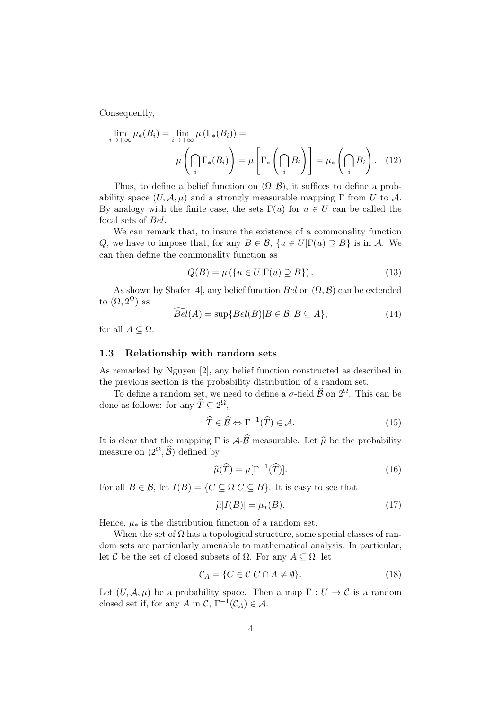Consequently,

$$
\lim_{i \to +\infty} \mu_*(B_i) = \lim_{i \to +\infty} \mu(\Gamma_*(B_i)) =
$$

$$
\mu\left(\bigcap_i \Gamma_*(B_i)\right) = \mu\left[\Gamma_*\left(\bigcap_i B_i\right)\right] = \mu_*\left(\bigcap_i B_i\right). \tag{12}
$$

Thus, to define a belief function on  $(\Omega, \mathcal{B})$ , it suffices to define a probability space  $(U, \mathcal{A}, \mu)$  and a strongly measurable mapping  $\Gamma$  from U to A. By analogy with the finite case, the sets  $\Gamma(u)$  for  $u \in U$  can be called the focal sets of Bel.

We can remark that, to insure the existence of a commonality function Q, we have to impose that, for any  $B \in \mathcal{B}$ ,  $\{u \in U | \Gamma(u) \supseteq B\}$  is in A. We can then define the commonality function as

$$
Q(B) = \mu \left( \{ u \in U | \Gamma(u) \supseteq B \} \right). \tag{13}
$$

As shown by Shafer [4], any belief function Bel on  $(\Omega, \mathcal{B})$  can be extended to  $(\Omega, 2^{\Omega})$  as

$$
\widetilde{Bel}(A) = \sup \{ Bel(B) | B \in \mathcal{B}, B \subseteq A \},\tag{14}
$$

for all  $A \subseteq \Omega$ .

#### 1.3 Relationship with random sets

As remarked by Nguyen [2], any belief function constructed as described in the previous section is the probability distribution of a random set.

To define a random set, we need to define a  $\sigma$ -field  $\widehat{\mathcal{B}}$  on  $2^{\Omega}$ . This can be done as follows: for any  $\widehat{T} \subseteq 2^{\Omega}$ ,

$$
\widehat{T} \in \widehat{\mathcal{B}} \Leftrightarrow \Gamma^{-1}(\widehat{T}) \in \mathcal{A}.\tag{15}
$$

It is clear that the mapping  $\Gamma$  is  $\mathcal{A}\text{-}\widehat{\mathcal{B}}$  measurable. Let  $\widehat{\mu}$  be the probability measure on  $(2^{\Omega}, \widehat{\mathcal{B}})$  defined by

$$
\widehat{\mu}(\widehat{T}) = \mu[\Gamma^{-1}(\widehat{T})].\tag{16}
$$

For all  $B \in \mathcal{B}$ , let  $I(B) = \{C \subseteq \Omega | C \subseteq B\}$ . It is easy to see that

$$
\widehat{\mu}[I(B)] = \mu_*(B). \tag{17}
$$

Hence,  $\mu_*$  is the distribution function of a random set.

When the set of  $\Omega$  has a topological structure, some special classes of random sets are particularly amenable to mathematical analysis. In particular, let C be the set of closed subsets of  $\Omega$ . For any  $A \subseteq \Omega$ , let

$$
\mathcal{C}_A = \{ C \in \mathcal{C} | C \cap A \neq \emptyset \}. \tag{18}
$$

Let  $(U, \mathcal{A}, \mu)$  be a probability space. Then a map  $\Gamma : U \to \mathcal{C}$  is a random closed set if, for any A in  $\mathcal{C}, \Gamma^{-1}(\mathcal{C}_A) \in \mathcal{A}$ .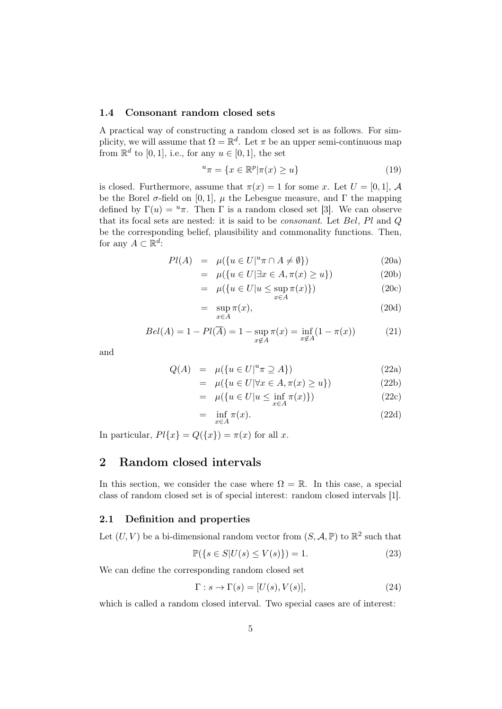#### 1.4 Consonant random closed sets

A practical way of constructing a random closed set is as follows. For simplicity, we will assume that  $\Omega = \mathbb{R}^d$ . Let  $\pi$  be an upper semi-continuous map from  $\mathbb{R}^d$  to [0, 1], i.e., for any  $u \in [0, 1]$ , the set

$$
u_{\pi} = \{ x \in \mathbb{R}^p | \pi(x) \ge u \}
$$
\n<sup>(19)</sup>

is closed. Furthermore, assume that  $\pi(x) = 1$  for some x. Let  $U = [0, 1]$ , A be the Borel  $\sigma$ -field on [0, 1],  $\mu$  the Lebesgue measure, and  $\Gamma$  the mapping defined by  $\Gamma(u) = u\pi$ . Then  $\Gamma$  is a random closed set [3]. We can observe that its focal sets are nested: it is said to be consonant. Let Bel, Pl and Q be the corresponding belief, plausibility and commonality functions. Then, for any  $A \subset \mathbb{R}^d$ :

$$
Pl(A) = \mu(\lbrace u \in U \vert^u \pi \cap A \neq \emptyset \rbrace)
$$
 (20a)

$$
= \mu(\lbrace u \in U | \exists x \in A, \pi(x) \ge u \rbrace)
$$
 (20b)

$$
= \mu(\lbrace u \in U | u \le \sup \pi(x) \rbrace) \tag{20c}
$$

$$
= \sup_{x \in A} \pi(x), \tag{20d}
$$

$$
Bel(A) = 1 - Pl(\overline{A}) = 1 - \sup_{x \notin A} \pi(x) = \inf_{x \notin A} (1 - \pi(x))
$$
 (21)

and

$$
Q(A) = \mu(\lbrace u \in U \vert^u \pi \supseteq A \rbrace) \tag{22a}
$$

$$
= \mu(\lbrace u \in U | \forall x \in A, \pi(x) \ge u \rbrace)
$$
 (22b)

$$
= \mu(\lbrace u \in U | u \le \inf_{x \in A} \pi(x) \rbrace)
$$
 (22c)

$$
= \inf_{x \in A} \pi(x). \tag{22d}
$$

In particular,  $Pl\{x\} = Q(\{x\}) = \pi(x)$  for all x.

# 2 Random closed intervals

In this section, we consider the case where  $\Omega = \mathbb{R}$ . In this case, a special class of random closed set is of special interest: random closed intervals [1].

#### 2.1 Definition and properties

Let  $(U, V)$  be a bi-dimensional random vector from  $(S, \mathcal{A}, \mathbb{P})$  to  $\mathbb{R}^2$  such that

$$
\mathbb{P}(\{s \in S | U(s) \le V(s)\}) = 1.
$$
\n<sup>(23)</sup>

We can define the corresponding random closed set

$$
\Gamma: s \to \Gamma(s) = [U(s), V(s)],\tag{24}
$$

which is called a random closed interval. Two special cases are of interest: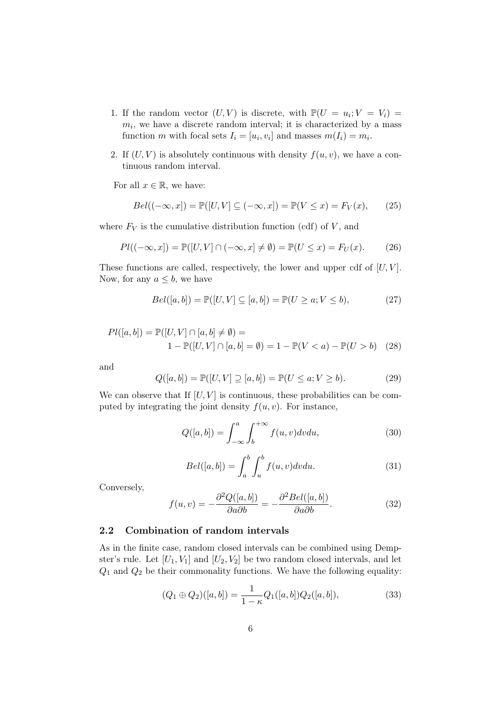- 1. If the random vector  $(U, V)$  is discrete, with  $\mathbb{P}(U = u_i; V = V_i) =$  $m_i$ , we have a discrete random interval; it is characterized by a mass function m with focal sets  $I_i = [u_i, v_i]$  and masses  $m(I_i) = m_i$ .
- 2. If  $(U, V)$  is absolutely continuous with density  $f(u, v)$ , we have a continuous random interval.

For all  $x \in \mathbb{R}$ , we have:

$$
Bel((-\infty, x]) = \mathbb{P}([U, V] \subseteq (-\infty, x]) = \mathbb{P}(V \le x) = F_V(x), \qquad (25)
$$

where  $F_V$  is the cumulative distribution function (cdf) of  $V$ , and

$$
Pl((-\infty, x]) = \mathbb{P}([U, V] \cap (-\infty, x] \neq \emptyset) = \mathbb{P}(U \leq x) = F_U(x). \tag{26}
$$

These functions are called, respectively, the lower and upper cdf of  $[U, V]$ . Now, for any  $a \leq b$ , we have

$$
Bel([a, b]) = \mathbb{P}([U, V] \subseteq [a, b]) = \mathbb{P}(U \ge a; V \le b), \tag{27}
$$

$$
Pl([a, b]) = \mathbb{P}([U, V] \cap [a, b] \neq \emptyset) =
$$
  

$$
1 - \mathbb{P}([U, V] \cap [a, b] = \emptyset) = 1 - \mathbb{P}(V < a) - \mathbb{P}(U > b) \quad (28)
$$

and

$$
Q([a, b]) = \mathbb{P}([U, V] \supseteq [a, b]) = \mathbb{P}(U \le a; V \ge b).
$$
 (29)

We can observe that If  $[U, V]$  is continuous, these probabilities can be computed by integrating the joint density  $f(u, v)$ . For instance,

$$
Q([a,b]) = \int_{-\infty}^{a} \int_{b}^{+\infty} f(u,v)dvdu,
$$
\n(30)

$$
Bel([a, b]) = \int_{a}^{b} \int_{u}^{b} f(u, v) dv du.
$$
 (31)

Conversely,

$$
f(u,v) = -\frac{\partial^2 Q([a,b])}{\partial a \partial b} = -\frac{\partial^2 Bel([a,b])}{\partial a \partial b}.
$$
 (32)

## 2.2 Combination of random intervals

As in the finite case, random closed intervals can be combined using Dempster's rule. Let  $[U_1, V_1]$  and  $[U_2, V_2]$  be two random closed intervals, and let  $Q_1$  and  $Q_2$  be their commonality functions. We have the following equality:

$$
(Q_1 \oplus Q_2)([a, b]) = \frac{1}{1 - \kappa} Q_1([a, b]) Q_2([a, b]), \qquad (33)
$$